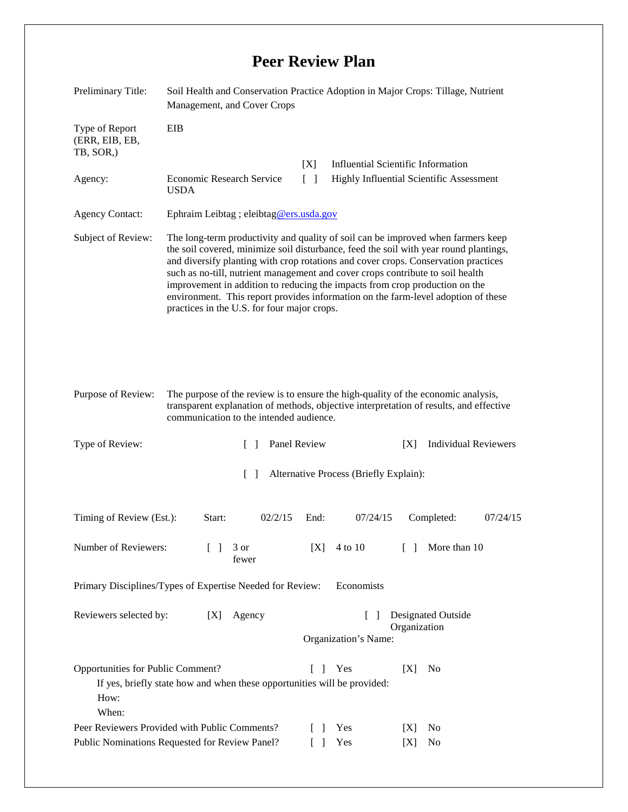## **Peer Review Plan**

| Preliminary Title:                                                                                  | Soil Health and Conservation Practice Adoption in Major Crops: Tillage, Nutrient<br>Management, and Cover Crops                                                                                                                                                                                                                                                                                                                                                                                                                                                      |                        |                                                                                       |                                                                            |                                    |                             |
|-----------------------------------------------------------------------------------------------------|----------------------------------------------------------------------------------------------------------------------------------------------------------------------------------------------------------------------------------------------------------------------------------------------------------------------------------------------------------------------------------------------------------------------------------------------------------------------------------------------------------------------------------------------------------------------|------------------------|---------------------------------------------------------------------------------------|----------------------------------------------------------------------------|------------------------------------|-----------------------------|
| Type of Report<br>(ERR, EIB, EB,<br>TB, SOR,)                                                       | EIB                                                                                                                                                                                                                                                                                                                                                                                                                                                                                                                                                                  |                        |                                                                                       |                                                                            |                                    |                             |
| Agency:                                                                                             | <b>Economic Research Service</b><br><b>USDA</b>                                                                                                                                                                                                                                                                                                                                                                                                                                                                                                                      | [X]<br>$\lceil \rceil$ | <b>Influential Scientific Information</b><br>Highly Influential Scientific Assessment |                                                                            |                                    |                             |
| <b>Agency Contact:</b>                                                                              | Ephraim Leibtag ; eleibtag@ers.usda.gov                                                                                                                                                                                                                                                                                                                                                                                                                                                                                                                              |                        |                                                                                       |                                                                            |                                    |                             |
| Subject of Review:                                                                                  | The long-term productivity and quality of soil can be improved when farmers keep<br>the soil covered, minimize soil disturbance, feed the soil with year round plantings,<br>and diversify planting with crop rotations and cover crops. Conservation practices<br>such as no-till, nutrient management and cover crops contribute to soil health<br>improvement in addition to reducing the impacts from crop production on the<br>environment. This report provides information on the farm-level adoption of these<br>practices in the U.S. for four major crops. |                        |                                                                                       |                                                                            |                                    |                             |
| Purpose of Review:                                                                                  | The purpose of the review is to ensure the high-quality of the economic analysis,<br>transparent explanation of methods, objective interpretation of results, and effective<br>communication to the intended audience.                                                                                                                                                                                                                                                                                                                                               |                        |                                                                                       |                                                                            |                                    |                             |
| Type of Review:<br>$\Box$                                                                           |                                                                                                                                                                                                                                                                                                                                                                                                                                                                                                                                                                      | Panel Review           |                                                                                       |                                                                            | [X]                                | <b>Individual Reviewers</b> |
| Alternative Process (Briefly Explain):<br>$\Box$                                                    |                                                                                                                                                                                                                                                                                                                                                                                                                                                                                                                                                                      |                        |                                                                                       |                                                                            |                                    |                             |
| Timing of Review (Est.):                                                                            | Start:                                                                                                                                                                                                                                                                                                                                                                                                                                                                                                                                                               | 02/2/15                | End:                                                                                  | 07/24/15                                                                   | Completed:                         | 07/24/15                    |
| Number of Reviewers:                                                                                |                                                                                                                                                                                                                                                                                                                                                                                                                                                                                                                                                                      | 3 or<br>fewer          | [X]                                                                                   | 4 to 10                                                                    | $\Box$                             | More than 10                |
| Primary Disciplines/Types of Expertise Needed for Review:<br>Economists                             |                                                                                                                                                                                                                                                                                                                                                                                                                                                                                                                                                                      |                        |                                                                                       |                                                                            |                                    |                             |
| Reviewers selected by:                                                                              |                                                                                                                                                                                                                                                                                                                                                                                                                                                                                                                                                                      | Agency<br>[X]          |                                                                                       | Designated Outside<br>$\mathbf{I}$<br>Organization<br>Organization's Name: |                                    |                             |
| Opportunities for Public Comment?<br>How:<br>When:<br>Peer Reviewers Provided with Public Comments? | If yes, briefly state how and when these opportunities will be provided:                                                                                                                                                                                                                                                                                                                                                                                                                                                                                             |                        | $\Box$                                                                                | Yes<br>Yes                                                                 | N <sub>0</sub><br>[X]<br>No<br>[X] |                             |
| Public Nominations Requested for Review Panel?                                                      |                                                                                                                                                                                                                                                                                                                                                                                                                                                                                                                                                                      |                        |                                                                                       | Yes                                                                        | No<br>[X]                          |                             |